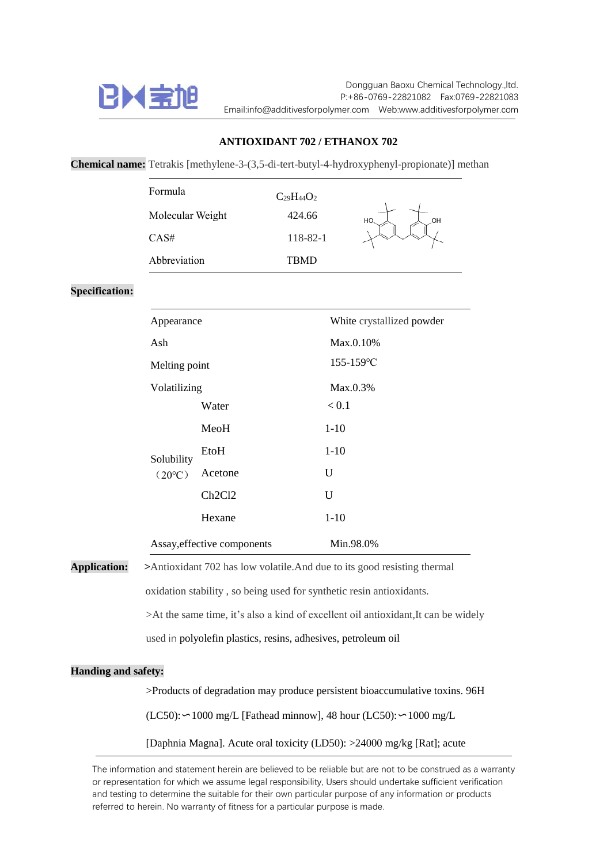

## **ANTIOXIDANT 702 / ETHANOX 702**

**Chemical name:** Tetrakis [methylene-3-(3,5-di-tert-butyl-4-hydroxyphenyl-propionate)] methan

| Formula          | $C_{29}H_{44}O_2$ |          |
|------------------|-------------------|----------|
| Molecular Weight | 424.66            | HO<br>OH |
| CAS#             | 118-82-1          |          |
| Abbreviation     | TRMD              |          |

**Specification:**

| Appearance                    |         | White crystallized powder |
|-------------------------------|---------|---------------------------|
| Ash                           |         | Max.0.10%                 |
| Melting point                 |         | $155 - 159$ °C            |
| Volatilizing                  |         | $Max.0.3\%$               |
| Solubility<br>$(20^{\circ}C)$ | Water   | ${}_{\leq 0.1}$           |
|                               | MeoH    | $1-10$                    |
|                               | EtoH    | $1-10$                    |
|                               | Acetone | U                         |
|                               | Ch2Cl2  | U                         |
|                               | Hexane  | $1-10$                    |
| Assay, effective components   |         | Min.98.0%                 |

**Application: >**Antioxidant 702 has low volatile.And due to its good resisting thermal

oxidation stability , so being used for synthetic resin antioxidants.

>At the same time, it's also a kind of excellent oil antioxidant,It can be widely

used in polyolefin plastics, resins, adhesives, petroleum oil

## **Handing and safety:**

>Products of degradation may produce persistent bioaccumulative toxins. 96H

(LC50):〜1000 mg/L [Fathead minnow], 48 hour (LC50):〜1000 mg/L

[Daphnia Magna]. Acute oral toxicity (LD50): >24000 mg/kg [Rat]; acute

The information and statement herein are believed to be reliable but are not to be construed as a warranty or representation for which we assume legal responsibility, Users should undertake sufficient verification and testing to determine the suitable for their own particular purpose of any information or products referred to herein. No warranty of fitness for a particular purpose is made.